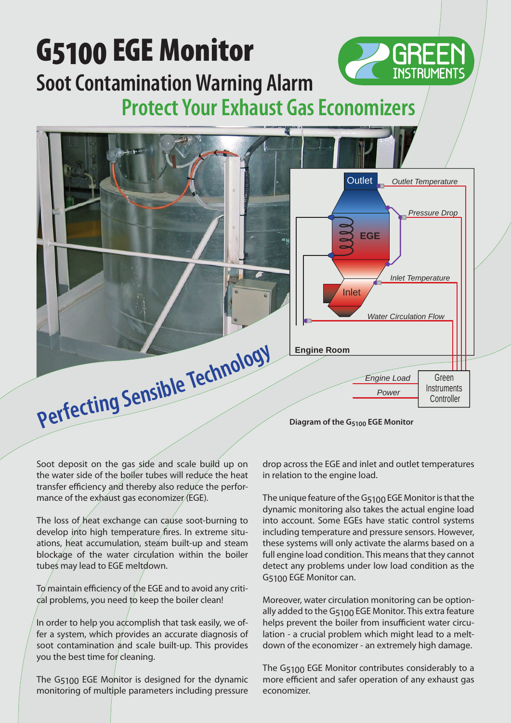

Soot deposit on the gas side and scale build up on the water side of the boiler tubes will reduce the heat transfer efficiency and thereby also reduce the performance of the exhaust gas economizer (EGE).

The loss of heat exchange can cause soot-burning to develop into high temperature fires. In extreme situations, heat accumulation, steam built-up and steam blockage of the water circulation within the boiler tubes may lead to EGE meltdown.

 $T\sigma$  maintain efficiency of the EGE and to avoid any criti- $\chi$ dal problems, you need to keep the boiler clean!

In order to help you accomplish that task easily, we offer a system, which provides an accurate diagnosis of soot contamination and scale built-up. This provides you the best time for cleaning.

The G<sub>5100</sub> EGE Monitor is designed for the dynamic monitoring of multiple parameters including pressure

drop across the EGE and inlet and outlet temperatures in relation to the engine load.

The unique feature of the G<sub>5100</sub> EGE Monitor is that the dynamic monitoring also takes the actual engine load into account. Some EGEs have static control systems including temperature and pressure sensors. However, these systems will only activate the alarms based on a full engine load condition. This means that they cannot detect any problems under low load condition as the G5100 EGE Monitor can.

Moreover, water circulation monitoring can be optionally added to the G5100 EGE Monitor. This extra feature helps prevent the boiler from insufficient water circulation - a crucial problem which might lead to a meltdown of the economizer - an extremely high damage.

The G5100 EGE Monitor contributes considerably to a more efficient and safer operation of any exhaust gas economizer.